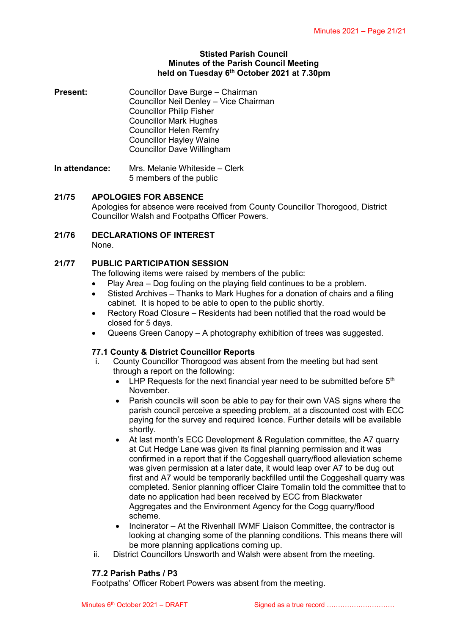#### **Stisted Parish Council Minutes of the Parish Council Meeting held on Tuesday 6 th October 2021 at 7.30pm**

**Present:** Councillor Dave Burge – Chairman Councillor Neil Denley – Vice Chairman Councillor Philip Fisher Councillor Mark Hughes Councillor Helen Remfry Councillor Hayley Waine Councillor Dave Willingham

**In attendance:** Mrs. Melanie Whiteside – Clerk 5 members of the public

## **21/75 APOLOGIES FOR ABSENCE**

Apologies for absence were received from County Councillor Thorogood, District Councillor Walsh and Footpaths Officer Powers.

**21/76 DECLARATIONS OF INTEREST** None.

#### **21/77 PUBLIC PARTICIPATION SESSION**

The following items were raised by members of the public:

- Play Area Dog fouling on the playing field continues to be a problem.
- Stisted Archives Thanks to Mark Hughes for a donation of chairs and a filing cabinet. It is hoped to be able to open to the public shortly.
- Rectory Road Closure Residents had been notified that the road would be closed for 5 days.
- Queens Green Canopy A photography exhibition of trees was suggested.

#### **77.1 County & District Councillor Reports**

- County Councillor Thorogood was absent from the meeting but had sent through a report on the following:
	- $\bullet$  LHP Requests for the next financial year need to be submitted before  $5<sup>th</sup>$ November.
	- Parish councils will soon be able to pay for their own VAS signs where the parish council perceive a speeding problem, at a discounted cost with ECC paying for the survey and required licence. Further details will be available shortly.
	- At last month's ECC Development & Regulation committee, the A7 quarry at Cut Hedge Lane was given its final planning permission and it was confirmed in a report that if the Coggeshall quarry/flood alleviation scheme was given permission at a later date, it would leap over A7 to be dug out first and A7 would be temporarily backfilled until the Coggeshall quarry was completed. Senior planning officer Claire Tomalin told the committee that to date no application had been received by ECC from Blackwater Aggregates and the Environment Agency for the Cogg quarry/flood scheme.
	- Incinerator At the Rivenhall IWMF Liaison Committee, the contractor is looking at changing some of the planning conditions. This means there will be more planning applications coming up.
- ii. District Councillors Unsworth and Walsh were absent from the meeting.

#### **77.2 Parish Paths / P3**

Footpaths' Officer Robert Powers was absent from the meeting.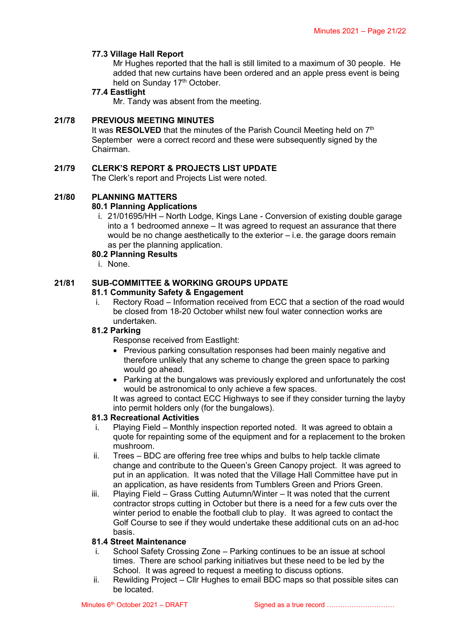## **77.3 Village Hall Report**

Mr Hughes reported that the hall is still limited to a maximum of 30 people. He added that new curtains have been ordered and an apple press event is being held on Sunday 17<sup>th</sup> October.

### **77.4 Eastlight**

Mr. Tandy was absent from the meeting.

#### **21/78 PREVIOUS MEETING MINUTES**

It was RESOLVED that the minutes of the Parish Council Meeting held on 7<sup>th</sup> September were a correct record and these were subsequently signed by the Chairman.

#### **21/79 CLERK'S REPORT & PROJECTS LIST UPDATE**

The Clerk's report and Projects List were noted.

## **21/80 PLANNING MATTERS**

#### **80.1 Planning Applications**

i. 21/01695/HH – North Lodge, Kings Lane - Conversion of existing double garage into a 1 bedroomed annexe – It was agreed to request an assurance that there would be no change aesthetically to the exterior – i.e. the garage doors remain as per the planning application.

#### **80.2 Planning Results**

i. None.

## **21/81 SUB-COMMITTEE & WORKING GROUPS UPDATE**

#### **81.1 Community Safety & Engagement**

i. Rectory Road – Information received from ECC that a section of the road would be closed from 18-20 October whilst new foul water connection works are undertaken.

#### **81.2 Parking**

Response received from Eastlight:

- Previous parking consultation responses had been mainly negative and therefore unlikely that any scheme to change the green space to parking would go ahead.
- Parking at the bungalows was previously explored and unfortunately the cost would be astronomical to only achieve a few spaces. It was agreed to contact ECC Highways to see if they consider turning the layby into permit holders only (for the bungalows).

# **81.3 Recreational Activities**

- i. Playing Field Monthly inspection reported noted. It was agreed to obtain a quote for repainting some of the equipment and for a replacement to the broken mushroom.
- ii. Trees BDC are offering free tree whips and bulbs to help tackle climate change and contribute to the Queen's Green Canopy project. It was agreed to put in an application. It was noted that the Village Hall Committee have put in an application, as have residents from Tumblers Green and Priors Green.
- iii. Playing Field Grass Cutting Autumn/Winter It was noted that the current contractor strops cutting in October but there is a need for a few cuts over the winter period to enable the football club to play. It was agreed to contact the Golf Course to see if they would undertake these additional cuts on an ad-hoc basis.

#### **81.4 Street Maintenance**

- i. School Safety Crossing Zone Parking continues to be an issue at school times. There are school parking initiatives but these need to be led by the School. It was agreed to request a meeting to discuss options.
- ii. Rewilding Project Cllr Hughes to email BDC maps so that possible sites can be located.